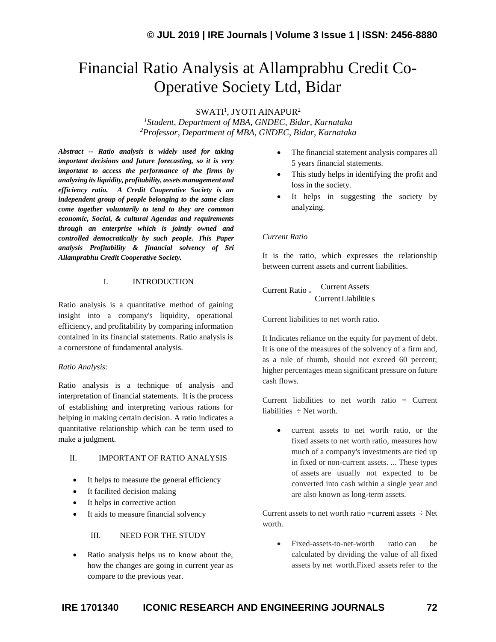# Financial Ratio Analysis at Allamprabhu Credit Co-Operative Society Ltd, Bidar

 $SWATI<sup>1</sup>$ , JYOTI AINAPUR $^2$ 

*1 Student, Department of MBA, GNDEC, Bidar, Karnataka <sup>2</sup>Professor, Department of MBA, GNDEC, Bidar, Karnataka*

*Abstract -- Ratio analysis is widely used for taking important decisions and future forecasting, so it is very important to access the performance of the firms by analyzing its liquidity, profitability, assets management and efficiency ratio. A Credit Cooperative Society is an independent group of people belonging to the same class come together voluntarily to tend to they are common economic, Social, & cultural Agendas and requirements through an enterprise which is jointly owned and controlled democratically by such people. This Paper analysis Profitability & financial solvency of Sri Allamprabhu Credit Cooperative Society.*

## I. INTRODUCTION

Ratio analysis is a quantitative method of gaining insight into a company's liquidity, operational efficiency, and profitability by comparing information contained in its financial statements. Ratio analysis is a cornerstone of fundamental analysis.

#### *Ratio Analysis:*

Ratio analysis is a technique of analysis and interpretation of financial statements. It is the process of establishing and interpreting various rations for helping in making certain decision. A ratio indicates a quantitative relationship which can be term used to make a judgment.

#### II. IMPORTANT OF RATIO ANALYSIS

- It helps to measure the general efficiency
- It facilited decision making
- It helps in corrective action
- It aids to measure financial solvency

III. NEED FOR THE STUDY

• Ratio analysis helps us to know about the, how the changes are going in current year as compare to the previous year.

- The financial statement analysis compares all 5 years financial statements.
- This study helps in identifying the profit and loss in the society.
- It helps in suggesting the society by analyzing.

#### *Current Ratio*

It is the ratio, which expresses the relationship between current assets and current liabilities.

$$
Current Ratio = \frac{Current Assets}{Current Liabilities}
$$

Current liabilities to net worth ratio.

It Indicates reliance on the equity for payment of debt. It is one of the measures of the solvency of a firm and, as a rule of thumb, should not exceed 60 percent; higher percentages mean significant pressure on future cash flows.

Current liabilities to net worth ratio  $=$  Current liabilities  $\div$  Net worth.

• current assets to net worth ratio, or the fixed assets to net worth ratio, measures how much of a company's investments are tied up in fixed or non-current assets. ... These types of assets are usually not expected to be converted into cash within a single year and are also known as long-term assets.

Current assets to net worth ratio =current assets  $\div$  Net worth.

• Fixed-assets-to-net-worth ratio can be calculated by dividing the value of all fixed assets by net worth.Fixed assets refer to the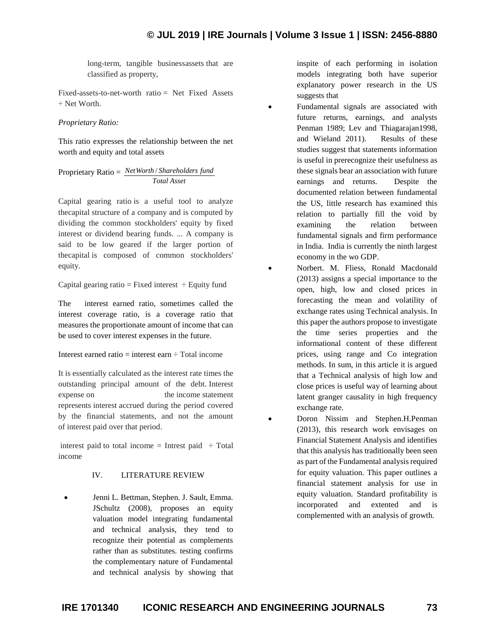long-term, tangible businessassets that are classified as property,

Fixed-assets-to-net-worth ratio = Net Fixed Assets ÷ Net Worth.

*Proprietary Ratio:*

This ratio expresses the relationship between the net worth and equity and total assets

Proprietary Ratio = *NetWorth* / *Shareholders fund Total Asset*

Capital gearing ratio is a useful tool to analyze thecapital structure of a company and is computed by dividing the common stockholders' equity by fixed interest or dividend bearing funds. ... A company is said to be low geared if the larger portion of thecapital is composed of common stockholders' equity.

Capital gearing ratio = Fixed interest  $\div$  Equity fund

The interest earned ratio, sometimes called the interest coverage ratio, is a coverage ratio that measures the proportionate amount of income that can be used to cover interest expenses in the future.

Interest earned ratio  $=$  interest earn  $\div$  Total income

It is essentially calculated as the interest rate times the outstanding principal amount of the debt. Interest expense on the income statement represents interest accrued during the period covered by the financial statements, and not the amount of interest paid over that period.

interest paid to total income = Intrest paid  $\div$  Total income

# IV. LITERATURE REVIEW

• Jenni L. Bettman, Stephen. J. Sault, Emma. JSchultz (2008), proposes an equity valuation model integrating fundamental and technical analysis, they tend to recognize their potential as complements rather than as substitutes. testing confirms the complementary nature of Fundamental and technical analysis by showing that inspite of each performing in isolation models integrating both have superior explanatory power research in the US suggests that

• Fundamental signals are associated with future returns, earnings, and analysts Penman 1989; Lev and Thiagarajan1998, and Wieland 2011). Results of these studies suggest that statements information is useful in prerecognize their usefulness as these signals bear an association with future earnings and returns. Despite the documented relation between fundamental the US, little research has examined this relation to partially fill the void by examining the relation between fundamental signals and firm performance in India. India is currently the ninth largest economy in the wo GDP.

• Norbert. M. Fliess, Ronald Macdonald (2013) assigns a special importance to the open, high, low and closed prices in forecasting the mean and volatility of exchange rates using Technical analysis. In this paper the authors propose to investigate the time series properties and the informational content of these different prices, using range and Co integration methods. In sum, in this article it is argued that a Technical analysis of high low and close prices is useful way of learning about latent granger causality in high frequency exchange rate.

• Doron Nissim and Stephen.H.Penman (2013), this research work envisages on Financial Statement Analysis and identifies that this analysis has traditionally been seen as part of the Fundamental analysis required for equity valuation. This paper outlines a financial statement analysis for use in equity valuation. Standard profitability is incorporated and extented and is complemented with an analysis of growth.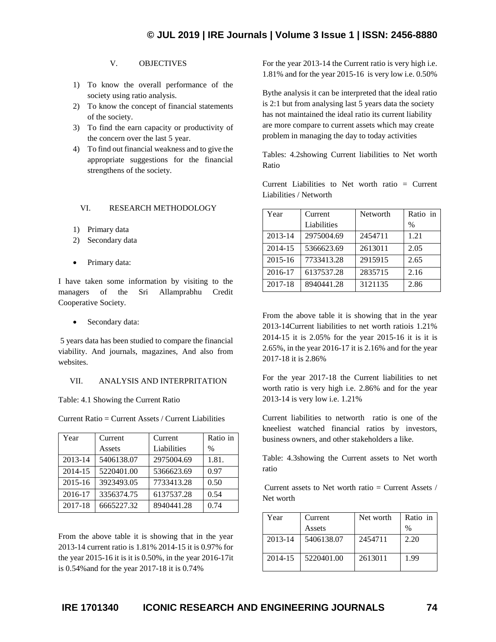# V. OBJECTIVES

- 1) To know the overall performance of the society using ratio analysis.
- 2) To know the concept of financial statements of the society.
- 3) To find the earn capacity or productivity of the concern over the last 5 year.
- 4) To find out financial weakness and to give the appropriate suggestions for the financial strengthens of the society.

## VI. RESEARCH METHODOLOGY

- 1) Primary data
- 2) Secondary data
- Primary data:

I have taken some information by visiting to the managers of the Sri Allamprabhu Credit Cooperative Society.

Secondary data:

5 years data has been studied to compare the financial viability. And journals, magazines, And also from websites.

## VII. ANALYSIS AND INTERPRITATION

Table: 4.1 Showing the Current Ratio

Current Ratio = Current Assets / Current Liabilities

| Year    | Current    | Current     | Ratio in      |
|---------|------------|-------------|---------------|
|         | Assets     | Liabilities | $\frac{0}{0}$ |
| 2013-14 | 5406138.07 | 2975004.69  | 1.81.         |
| 2014-15 | 5220401.00 | 5366623.69  | 0.97          |
| 2015-16 | 3923493.05 | 7733413.28  | 0.50          |
| 2016-17 | 3356374.75 | 6137537.28  | 0.54          |
| 2017-18 | 6665227.32 | 8940441.28  | 0.74          |

From the above table it is showing that in the year 2013-14 current ratio is 1.81% 2014-15 it is 0.97% for the year 2015-16 it is it is 0.50%, in the year 2016-17it is 0.54%and for the year 2017-18 it is 0.74%

For the year 2013-14 the Current ratio is very high i.e. 1.81% and for the year 2015-16 is very low i.e. 0.50%

Bythe analysis it can be interpreted that the ideal ratio is 2:1 but from analysing last 5 years data the society has not maintained the ideal ratio its current liability are more compare to current assets which may create problem in managing the day to today activities

Tables: 4.2showing Current liabilities to Net worth Ratio

Current Liabilities to Net worth ratio = Current Liabilities / Networth

| Year        | Current     | Networth | Ratio in |
|-------------|-------------|----------|----------|
|             | Liabilities |          | $\%$     |
| 2013-14     | 2975004.69  | 2454711  | 1.21     |
| 2014-15     | 5366623.69  | 2613011  | 2.05     |
| $2015 - 16$ | 7733413.28  | 2915915  | 2.65     |
| 2016-17     | 6137537.28  | 2835715  | 2.16     |
| 2017-18     | 8940441.28  | 3121135  | 2.86     |

From the above table it is showing that in the year 2013-14Current liabilities to net worth ratiois 1.21% 2014-15 it is 2.05% for the year 2015-16 it is it is 2.65%, in the year 2016-17 it is 2.16% and for the year 2017-18 it is 2.86%

For the year 2017-18 the Current liabilities to net worth ratio is very high i.e. 2.86% and for the year 2013-14 is very low i.e. 1.21%

Current liabilities to networth ratio is one of the kneeliest watched financial ratios by investors, business owners, and other stakeholders a like.

Table: 4.3showing the Current assets to Net worth ratio

Current assets to Net worth ratio  $=$  Current Assets / Net worth

| Year    | Current    | Net worth | Ratio in |
|---------|------------|-----------|----------|
|         | Assets     |           | $\%$     |
| 2013-14 | 5406138.07 | 2454711   | 2.20     |
| 2014-15 | 5220401.00 | 2613011   | 1.99     |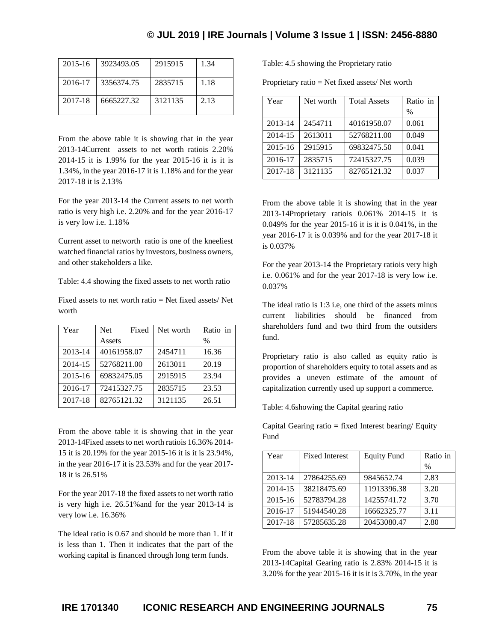# **© JUL 2019 | IRE Journals | Volume 3 Issue 1 | ISSN: 2456-8880**

| $2015 - 16$ | 3923493.05 | 2915915 | 1.34 |
|-------------|------------|---------|------|
| 2016-17     | 3356374.75 | 2835715 | 1.18 |
| 2017-18     | 6665227.32 | 3121135 | 2.13 |

From the above table it is showing that in the year 2013-14Current assets to net worth ratiois 2.20% 2014-15 it is 1.99% for the year 2015-16 it is it is 1.34%, in the year 2016-17 it is 1.18% and for the year 2017-18 it is 2.13%

For the year 2013-14 the Current assets to net worth ratio is very high i.e. 2.20% and for the year 2016-17 is very low i.e. 1.18%

Current asset to networth ratio is one of the kneeliest watched financial ratios by investors, business owners, and other stakeholders a like.

Table: 4.4 showing the fixed assets to net worth ratio

Fixed assets to net worth ratio  $=$  Net fixed assets/ Net worth

| Year        | Fixed<br><b>Net</b> | Net worth | Ratio in |
|-------------|---------------------|-----------|----------|
|             | Assets              |           | $\%$     |
| 2013-14     | 40161958.07         | 2454711   | 16.36    |
| 2014-15     | 52768211.00         | 2613011   | 20.19    |
| $2015 - 16$ | 69832475.05         | 2915915   | 23.94    |
| 2016-17     | 72415327.75         | 2835715   | 23.53    |
| 2017-18     | 82765121.32         | 3121135   | 26.51    |

From the above table it is showing that in the year 2013-14Fixed assets to net worth ratiois 16.36% 2014- 15 it is 20.19% for the year 2015-16 it is it is 23.94%, in the year 2016-17 it is 23.53% and for the year 2017- 18 it is 26.51%

For the year 2017-18 the fixed assets to net worth ratio is very high i.e. 26.51%and for the year 2013-14 is very low i.e. 16.36%

The ideal ratio is 0.67 and should be more than 1. If it is less than 1. Then it indicates that the part of the working capital is financed through long term funds.

Table: 4.5 showing the Proprietary ratio

Proprietary ratio = Net fixed assets/ Net worth

| Year        | Net worth | <b>Total Assets</b> | Ratio in |
|-------------|-----------|---------------------|----------|
|             |           |                     | $\%$     |
| 2013-14     | 2454711   | 40161958.07         | 0.061    |
| 2014-15     | 2613011   | 52768211.00         | 0.049    |
| $2015 - 16$ | 2915915   | 69832475.50         | 0.041    |
| 2016-17     | 2835715   | 72415327.75         | 0.039    |
| 2017-18     | 3121135   | 82765121.32         | 0.037    |

From the above table it is showing that in the year 2013-14Proprietary ratiois 0.061% 2014-15 it is 0.049% for the year 2015-16 it is it is 0.041%, in the year 2016-17 it is 0.039% and for the year 2017-18 it is 0.037%

For the year 2013-14 the Proprietary ratiois very high i.e. 0.061% and for the year 2017-18 is very low i.e. 0.037%

The ideal ratio is 1:3 i.e, one third of the assets minus current liabilities should be financed from shareholders fund and two third from the outsiders fund.

Proprietary ratio is also called as equity ratio is proportion of shareholders equity to total assets and as provides a uneven estimate of the amount of capitalization currently used up support a commerce.

Table: 4.6showing the Capital gearing ratio

Capital Gearing ratio  $=$  fixed Interest bearing/ Equity Fund

| Year        | <b>Fixed Interest</b> | <b>Equity Fund</b> | Ratio in |
|-------------|-----------------------|--------------------|----------|
|             |                       |                    | $\%$     |
| 2013-14     | 27864255.69           | 9845652.74         | 2.83     |
| 2014-15     | 38218475.69           | 11913396.38        | 3.20     |
| $2015 - 16$ | 52783794.28           | 14255741.72        | 3.70     |
| 2016-17     | 51944540.28           | 16662325.77        | 3.11     |
| 2017-18     | 57285635.28           | 20453080.47        | 2.80     |

From the above table it is showing that in the year 2013-14Capital Gearing ratio is 2.83% 2014-15 it is 3.20% for the year 2015-16 it is it is 3.70%, in the year